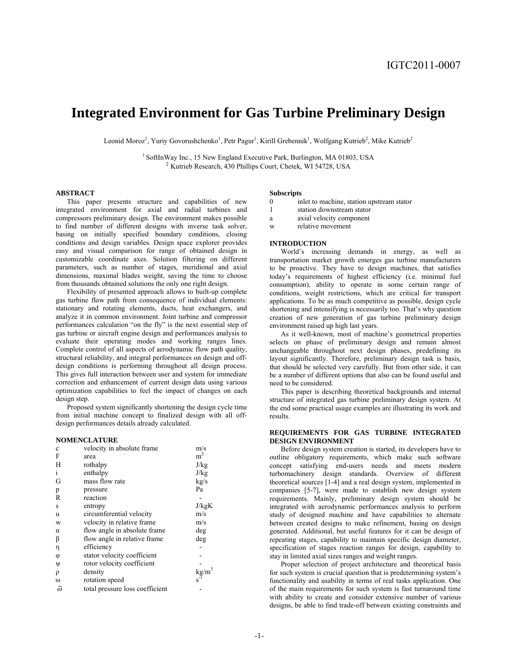# **Integrated Environment for Gas Turbine Preliminary Design**

Leonid Moroz<sup>1</sup>, Yuriy Govorushchenko<sup>1</sup>, Petr Pagur<sup>1</sup>, Kirill Grebennik<sup>1</sup>, Wolfgang Kutrieb<sup>2</sup>, Mike Kutrieb<sup>2</sup>

<sup>1</sup> SoftInWay Inc., 15 New England Executive Park, Burlington, MA 01803, USA  $2$  Kutrieb Research, 430 Phillips Court, Chetek, WI 54728, USA

#### **ABSTRACT**

This paper presents structure and capabilities of new integrated environment for axial and radial turbines and compressors preliminary design. The environment makes possible to find number of different designs with inverse task solver, basing on initially specified boundary conditions, closing conditions and design variables. Design space explorer provides easy and visual comparison for range of obtained design in customizable coordinate axes. Solution filtering on different parameters, such as number of stages, meridional and axial dimensions, maximal blades weight, saving the time to choose from thousands obtained solutions the only one right design.

Flexibility of presented approach allows to built-up complete gas turbine flow path from consequence of individual elements: stationary and rotating elements, ducts, heat exchangers, and analyze it in common environment. Joint turbine and compressor performances calculation "on the fly" is the next essential step of gas turbine or aircraft engine design and performances analysis to evaluate their operating modes and working ranges lines. Complete control of all aspects of aerodynamic flow path quality, structural reliability, and integral performances on design and offdesign conditions is performing throughout all design process. This gives full interaction between user and system for immediate correction and enhancement of current design data using various optimization capabilities to feel the impact of changes on each design step.

Proposed system significantly shortening the design cycle time from initial machine concept to finalized design with all offdesign performances details already calculated.

#### **NOMENCLATURE**

| $\mathbf c$  | velocity in absolute frame      | m/s                                   |
|--------------|---------------------------------|---------------------------------------|
| F            | area                            | m <sup>2</sup>                        |
| Н            | rothalpy                        | J/kg                                  |
| $\mathbf{i}$ | enthalpy                        | J/kg                                  |
| G            | mass flow rate                  | kg/s                                  |
| p            | pressure                        | Pa                                    |
| R            | reaction                        |                                       |
| S            | entropy                         | J/kgK                                 |
| u            | circumferential velocity        | m/s                                   |
| W            | velocity in relative frame      | m/s                                   |
| $\alpha$     | flow angle in absolute frame.   | deg                                   |
| β            | flow angle in relative frame.   | deg                                   |
| η            | efficiency                      |                                       |
| φ            | stator velocity coefficient     |                                       |
| Ψ            | rotor velocity coefficient      |                                       |
| ρ            | density                         | $\frac{\text{kg/m}^3}{\text{s}^{-1}}$ |
| $\omega$     | rotation speed                  |                                       |
| $\omega$     | total pressure loss coefficient |                                       |

#### **Subscripts**

- 0 inlet to machine, station upstream stator
- 1 station downstream stator
- a axial velocity component
- w relative movement

## **INTRODUCTION**

World's increasing demands in energy, as well as transportation market growth emerges gas turbine manufacturers to be proactive. They have to design machines, that satisfies today's requirements of highest efficiency (i.e. minimal fuel consumption), ability to operate in some certain range of conditions, weight restrictions, which are critical for transport applications. To be as much competitive as possible, design cycle shortening and intensifying is necessarily too. That's why question creation of new generation of gas turbine preliminary design environment raised up high last years.

As it well-known, most of machine's geometrical properties selects on phase of preliminary design and remain almost unchangeable throughout next design phases, predefining its layout significantly. Therefore, preliminary design task is basis, that should be selected very carefully. But from other side, it can be a number of different options that also can be found useful and need to be considered.

This paper is describing theoretical backgrounds and internal structure of integrated gas turbine preliminary design system. At the end some practical usage examples are illustrating its work and results.

#### **REQUIREMENTS FOR GAS TURBINE INTEGRATED DESIGN ENVIRONMENT**

Before design system creation is started, its developers have to outline obligatory requirements, which make such software concept satisfying end-users needs and meets modern turbomachinery design standards. Overview of different theoretical sources [1-4] and a real design system, implemented in companies [5-7], were made to establish new design system requirements. Mainly, preliminary design system should be integrated with aerodynamic performances analysis to perform study of designed machine and have capabilities to alternate between created designs to make refinement, basing on design generated. Additional, but useful features for it can be design of repeating stages, capability to maintain specific design diameter, specification of stages reaction ranges for design, capability to stay in limited axial sizes ranges and weight ranges.

Proper selection of project architecture and theoretical basis for such system is crucial question that is predetermining system's functionality and usability in terms of real tasks application. One of the main requirements for such system is fast turnaround time with ability to create and consider extensive number of various designs, be able to find trade-off between existing constraints and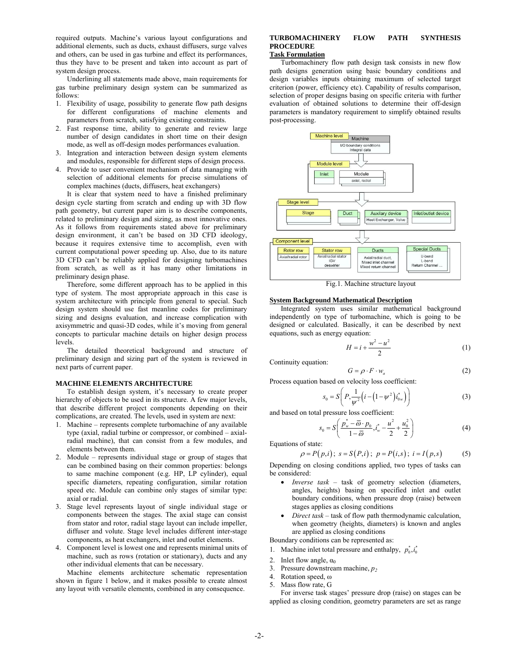required outputs. Machine's various layout configurations and additional elements, such as ducts, exhaust diffusers, surge valves and others, can be used in gas turbine and effect its performances, thus they have to be present and taken into account as part of system design process.

Underlining all statements made above, main requirements for gas turbine preliminary design system can be summarized as follows:

- 1. Flexibility of usage, possibility to generate flow path designs for different configurations of machine elements and parameters from scratch, satisfying existing constraints.
- 2. Fast response time, ability to generate and review large number of design candidates in short time on their design mode, as well as off-design modes performances evaluation.
- 3. Integration and interaction between design system elements and modules, responsible for different steps of design process.
- 4. Provide to user convenient mechanism of data managing with selection of additional elements for precise simulations of complex machines (ducts, diffusers, heat exchangers)

It is clear that system need to have a finished preliminary design cycle starting from scratch and ending up with 3D flow path geometry, but current paper aim is to describe components, related to preliminary design and sizing, as most innovative ones. As it follows from requirements stated above for preliminary design environment, it can't be based on 3D CFD ideology, because it requires extensive time to accomplish, even with current computational power speeding up. Also, due to its nature 3D CFD can't be reliably applied for designing turbomachines from scratch, as well as it has many other limitations in preliminary design phase.

Therefore, some different approach has to be applied in this type of system. The most appropriate approach in this case is system architecture with principle from general to special. Such design system should use fast meanline codes for preliminary sizing and designs evaluation, and increase complication with axisymmetric and quasi-3D codes, while it's moving from general concepts to particular machine details on higher design process levels.

The detailed theoretical background and structure of preliminary design and sizing part of the system is reviewed in next parts of current paper.

#### **MACHINE ELEMENTS ARCHITECTURE**

To establish design system, it's necessary to create proper hierarchy of objects to be used in its structure. A few major levels, that describe different project components depending on their complications, are created. The levels, used in system are next:

- 1. Machine represents complete turbomachine of any available type (axial, radial turbine or compressor, or combined – axialradial machine), that can consist from a few modules, and elements between them.
- 2. Module represents individual stage or group of stages that can be combined basing on their common properties: belongs to same machine component (e.g. HP, LP cylinder), equal specific diameters, repeating configuration, similar rotation speed etc. Module can combine only stages of similar type: axial or radial.
- 3. Stage level represents layout of single individual stage or components between the stages. The axial stage can consist from stator and rotor, radial stage layout can include impeller, diffuser and volute. Stage level includes different inter-stage components, as heat exchangers, inlet and outlet elements.
- 4. Component level is lowest one and represents minimal units of machine, such as rows (rotation or stationary), ducts and any other individual elements that can be necessary.

Machine elements architecture schematic representation shown in figure 1 below, and it makes possible to create almost any layout with versatile elements, combined in any consequence.

# **TURBOMACHINERY FLOW PATH SYNTHESIS PROCEDURE**

# **Task Formulation**

Turbomachinery flow path design task consists in new flow path designs generation using basic boundary conditions and design variables inputs obtaining maximum of selected target criterion (power, efficiency etc). Capability of results comparison, selection of proper designs basing on specific criteria with further evaluation of obtained solutions to determine their off-design parameters is mandatory requirement to simplify obtained results post-processing.



Fig.1. Machine structure layout

#### **System Background Mathematical Description**

Integrated system uses similar mathematical background independently on type of turbomachine, which is going to be designed or calculated. Basically, it can be described by next equations, such as energy equation:

$$
H = i + \frac{w^2 - u^2}{2}
$$
 (1)

Continuity equation:

$$
(2)
$$

 $G = \rho \cdot F \cdot w_a$  (2)<br>Process equation based on velocity loss coefficient:

$$
s_0 = S\left(P, \frac{1}{\psi^2} \left(i - \left(1 - \psi^2\right) i_{0\nu}^*\right)\right) \tag{3}
$$

and based on total pressure loss coefficient:

$$
s_0 = S\left(\frac{p_w^* - \overline{\omega} \cdot p_0}{1 - \overline{\omega}}, i_w^* - \frac{u^2}{2} + \frac{u_0^2}{2}\right)
$$
 (4)

Equations of state:

$$
\rho = P(p,i); s = S(P,i); p = P(i,s); i = I(p,s)
$$
 (5)  
Depending on closing conditions applied, two types of tasks can

be considered:

- *Inverse task* task of geometry selection (diameters, angles, heights) basing on specified inlet and outlet boundary conditions, when pressure drop (raise) between stages applies as closing conditions
- *Direct task* task of flow path thermodynamic calculation, when geometry (heights, diameters) is known and angles are applied as closing conditions

Boundary conditions can be represented as:

- 1. Machine inlet total pressure and enthalpy,  $p_0^*, i_0^*$
- 2. Inlet flow angle,  $\alpha_0$
- 3. Pressure downstream machine, *p2*
- 4. Rotation speed, ω
- 5. Mass flow rate, G

For inverse task stages' pressure drop (raise) on stages can be applied as closing condition, geometry parameters are set as range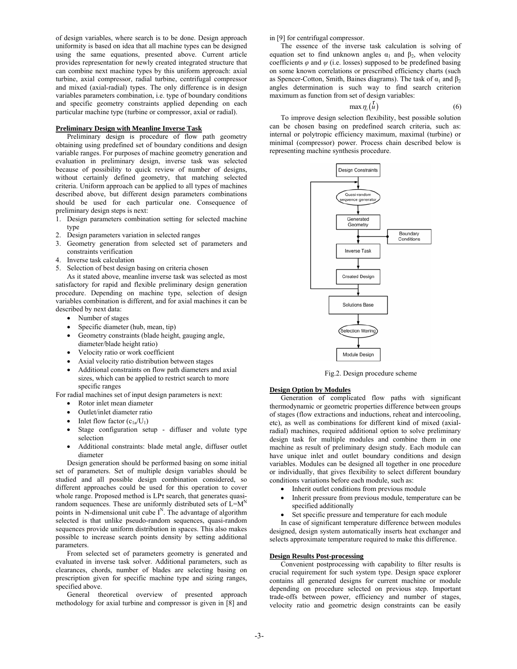of design variables, where search is to be done. Design approach uniformity is based on idea that all machine types can be designed using the same equations, presented above. Current article provides representation for newly created integrated structure that can combine next machine types by this uniform approach: axial turbine, axial compressor, radial turbine, centrifugal compressor and mixed (axial-radial) types. The only difference is in design variables parameters combination, i.e. type of boundary conditions and specific geometry constraints applied depending on each particular machine type (turbine or compressor, axial or radial).

#### **Preliminary Design with Meanline Inverse Task**

Preliminary design is procedure of flow path geometry obtaining using predefined set of boundary conditions and design variable ranges. For purposes of machine geometry generation and evaluation in preliminary design, inverse task was selected because of possibility to quick review of number of designs, without certainly defined geometry, that matching selected criteria. Uniform approach can be applied to all types of machines described above, but different design parameters combinations should be used for each particular one. Consequence of preliminary design steps is next:

- 1. Design parameters combination setting for selected machine type
- 2. Design parameters variation in selected ranges
- 3. Geometry generation from selected set of parameters and constraints verification
- 4. Inverse task calculation
- 5. Selection of best design basing on criteria chosen

As it stated above, meanline inverse task was selected as most satisfactory for rapid and flexible preliminary design generation procedure. Depending on machine type, selection of design variables combination is different, and for axial machines it can be described by next data:

- Number of stages
- Specific diameter (hub, mean, tip)
- Geometry constraints (blade height, gauging angle, diameter/blade height ratio)
- Velocity ratio or work coefficient
- Axial velocity ratio distribution between stages
- Additional constraints on flow path diameters and axial sizes, which can be applied to restrict search to more specific ranges

For radial machines set of input design parameters is next:

- Rotor inlet mean diameter
- Outlet/inlet diameter ratio
- Inlet flow factor  $(c_{1a}/U_1)$
- Stage configuration setup diffuser and volute type selection
- Additional constraints: blade metal angle, diffuser outlet diameter

Design generation should be performed basing on some initial set of parameters. Set of multiple design variables should be studied and all possible design combination considered, so different approaches could be used for this operation to cover whole range. Proposed method is LPτ search, that generates quasirandom sequences. These are uniformly distributed sets of  $L=M<sup>N</sup>$ points in N-dimensional unit cube  $I^N$ . The advantage of algorithm selected is that unlike pseudo-random sequences, quasi-random sequences provide uniform distribution in spaces. This also makes possible to increase search points density by setting additional parameters.

From selected set of parameters geometry is generated and evaluated in inverse task solver. Additional parameters, such as clearances, chords, number of blades are selecting basing on prescription given for specific machine type and sizing ranges, specified above.

General theoretical overview of presented approach methodology for axial turbine and compressor is given in [8] and in [9] for centrifugal compressor.

The essence of the inverse task calculation is solving of equation set to find unknown angles  $\alpha_1$  and  $\beta_2$ , when velocity coefficients  $\varphi$  and  $\psi$  (i.e. losses) supposed to be predefined basing on some known correlations or prescribed efficiency charts (such as Spencer-Cotton, Smith, Baines diagrams). The task of  $\alpha_1$  and  $\beta_2$ angles determination is such way to find search criterion maximum as function from set of design variables:

 $\max \eta_i(u)$  $\begin{pmatrix} r \\ u \end{pmatrix}$  (6)

To improve design selection flexibility, best possible solution can be chosen basing on predefined search criteria, such as: internal or polytropic efficiency maximum, maximal (turbine) or minimal (compressor) power. Process chain described below is representing machine synthesis procedure.



Fig.2. Design procedure scheme

#### **Design Option by Modules**

Generation of complicated flow paths with significant thermodynamic or geometric properties difference between groups of stages (flow extractions and inductions, reheat and intercooling, etc), as well as combinations for different kind of mixed (axialradial) machines, required additional option to solve preliminary design task for multiple modules and combine them in one machine as result of preliminary design study. Each module can have unique inlet and outlet boundary conditions and design variables. Modules can be designed all together in one procedure or individually, that gives flexibility to select different boundary conditions variations before each module, such as:

- Inherit outlet conditions from previous module
- Inherit pressure from previous module, temperature can be specified additionally
- Set specific pressure and temperature for each module

In case of significant temperature difference between modules designed, design system automatically inserts heat exchanger and selects approximate temperature required to make this difference.

#### **Design Results Post-processing**

Convenient postprocessing with capability to filter results is crucial requirement for such system type. Design space explorer contains all generated designs for current machine or module depending on procedure selected on previous step. Important trade-offs between power, efficiency and number of stages, velocity ratio and geometric design constraints can be easily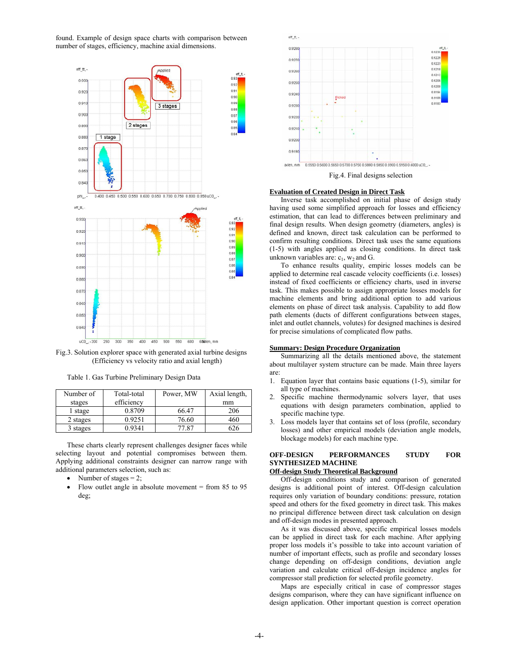found. Example of design space charts with comparison between number of stages, efficiency, machine axial dimensions.



Fig.3. Solution explorer space with generated axial turbine designs (Efficiency vs velocity ratio and axial length)

Table 1. Gas Turbine Preliminary Design Data

| Number of | Total-total | Power, MW | Axial length, |
|-----------|-------------|-----------|---------------|
| stages    | efficiency  |           | mm            |
| stage     | 0.8709      | 66.47     | 206           |
| 2 stages  | 0.9251      | 76.60     | 460           |
| 3 stages  | 0.9341      | 77.87     | 626           |

These charts clearly represent challenges designer faces while selecting layout and potential compromises between them. Applying additional constraints designer can narrow range with additional parameters selection, such as:

- Number of stages  $= 2$ ;
- Flow outlet angle in absolute movement  $=$  from 85 to 95 deg;



#### **Evaluation of Created Design in Direct Task**

Inverse task accomplished on initial phase of design study having used some simplified approach for losses and efficiency estimation, that can lead to differences between preliminary and final design results. When design geometry (diameters, angles) is defined and known, direct task calculation can be performed to confirm resulting conditions. Direct task uses the same equations (1-5) with angles applied as closing conditions. In direct task unknown variables are:  $c_1$ ,  $w_2$  and G.

To enhance results quality, empiric losses models can be applied to determine real cascade velocity coefficients (i.e. losses) instead of fixed coefficients or efficiency charts, used in inverse task. This makes possible to assign appropriate losses models for machine elements and bring additional option to add various elements on phase of direct task analysis. Capability to add flow path elements (ducts of different configurations between stages, inlet and outlet channels, volutes) for designed machines is desired for precise simulations of complicated flow paths.

#### **Summary: Design Procedure Organization**

Summarizing all the details mentioned above, the statement about multilayer system structure can be made. Main three layers are:

- 1. Equation layer that contains basic equations (1-5), similar for all type of machines.
- 2. Specific machine thermodynamic solvers layer, that uses equations with design parameters combination, applied to specific machine type.
- 3. Loss models layer that contains set of loss (profile, secondary losses) and other empirical models (deviation angle models, blockage models) for each machine type.

# **OFF-DESIGN PERFORMANCES STUDY FOR SYNTHESIZED MACHINE**

#### **Off-design Study Theoretical Background**

Off-design conditions study and comparison of generated designs is additional point of interest. Off-design calculation requires only variation of boundary conditions: pressure, rotation speed and others for the fixed geometry in direct task. This makes no principal difference between direct task calculation on design and off-design modes in presented approach.

As it was discussed above, specific empirical losses models can be applied in direct task for each machine. After applying proper loss models it's possible to take into account variation of number of important effects, such as profile and secondary losses change depending on off-design conditions, deviation angle variation and calculate critical off-design incidence angles for compressor stall prediction for selected profile geometry.

Maps are especially critical in case of compressor stages designs comparison, where they can have significant influence on design application. Other important question is correct operation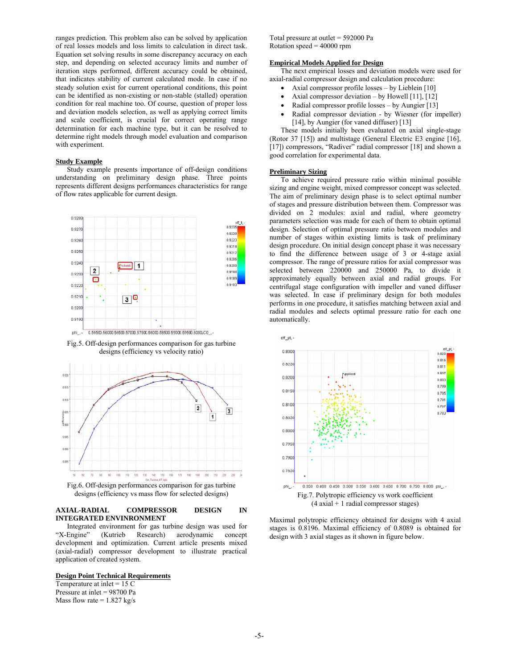ranges prediction. This problem also can be solved by application of real losses models and loss limits to calculation in direct task. Equation set solving results in some discrepancy accuracy on each step, and depending on selected accuracy limits and number of iteration steps performed, different accuracy could be obtained, that indicates stability of current calculated mode. In case if no steady solution exist for current operational conditions, this point can be identified as non-existing or non-stable (stalled) operation condition for real machine too. Of course, question of proper loss and deviation models selection, as well as applying correct limits and scale coefficient, is crucial for correct operating range determination for each machine type, but it can be resolved to determine right models through model evaluation and comparison with experiment.

#### **Study Example**

Study example presents importance of off-design conditions understanding on preliminary design phase. Three points represents different designs performances characteristics for range of flow rates applicable for current design.







designs (efficiency vs mass flow for selected designs)

#### **AXIAL-RADIAL COMPRESSOR DESIGN IN INTEGRATED ENVINRONMENT**

Integrated environment for gas turbine design was used for "X-Engine" (Kutrieb Research) aerodynamic concept (Kutrieb Research) aerodynamic concept development and optimization. Current article presents mixed (axial-radial) compressor development to illustrate practical application of created system.

## **Design Point Technical Requirements**

Temperature at inlet  $= 15$  C Pressure at inlet = 98700 Pa Mass flow rate  $= 1.827$  kg/s Total pressure at outlet = 592000 Pa Rotation speed = 40000 rpm

#### **Empirical Models Applied for Design**

The next empirical losses and deviation models were used for axial-radial compressor design and calculation procedure:

- Axial compressor profile losses by Lieblein [10]
- Axial compressor deviation by Howell  $[11]$ ,  $[12]$
- Radial compressor profile losses by Aungier [13]
- Radial compressor deviation by Wiesner (for impeller) [14], by Aungier (for vaned diffuser) [13]

These models initially been evaluated on axial single-stage (Rotor 37 [15]) and multistage (General Electric E3 engine [16], [17]) compressors, "Radiver" radial compressor [18] and shown a good correlation for experimental data.

#### **Preliminary Sizing**

To achieve required pressure ratio within minimal possible sizing and engine weight, mixed compressor concept was selected. The aim of preliminary design phase is to select optimal number of stages and pressure distribution between them. Compressor was divided on 2 modules: axial and radial, where geometry parameters selection was made for each of them to obtain optimal design. Selection of optimal pressure ratio between modules and number of stages within existing limits is task of preliminary design procedure. On initial design concept phase it was necessary to find the difference between usage of 3 or 4-stage axial compressor. The range of pressure ratios for axial compressor was selected between 220000 and 250000 Pa, to divide it approximately equally between axial and radial groups. For centrifugal stage configuration with impeller and vaned diffuser was selected. In case if preliminary design for both modules performs in one procedure, it satisfies matching between axial and radial modules and selects optimal pressure ratio for each one automatically.



Maximal polytropic efficiency obtained for designs with 4 axial stages is 0.8196. Maximal efficiency of 0.8089 is obtained for design with 3 axial stages as it shown in figure below.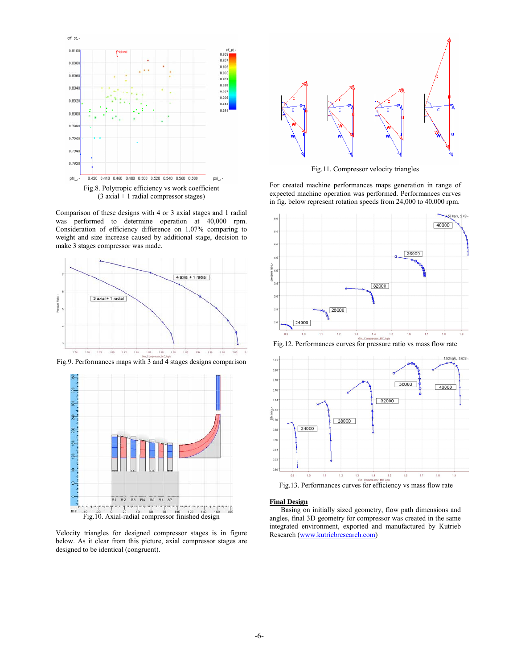

Fig.8. Polytropic efficiency vs work coefficient (3 axial + 1 radial compressor stages)

Comparison of these designs with 4 or 3 axial stages and 1 radial was performed to determine operation at 40,000 rpm. Consideration of efficiency difference on 1.07% comparing to weight and size increase caused by additional stage, decision to make 3 stages compressor was made.







Velocity triangles for designed compressor stages is in figure below. As it clear from this picture, axial compressor stages are designed to be identical (congruent).



Fig.11. Compressor velocity triangles

For created machine performances maps generation in range of expected machine operation was performed. Performances curves in fig. below represent rotation speeds from 24,000 to 40,000 rpm.



Fig.12. Performances curves for pressure ratio vs mass flow rate



**Final Design**

Basing on initially sized geometry, flow path dimensions and angles, final 3D geometry for compressor was created in the same integrated environment, exported and manufactured by Kutrieb Research (www.kutriebresearch.com)